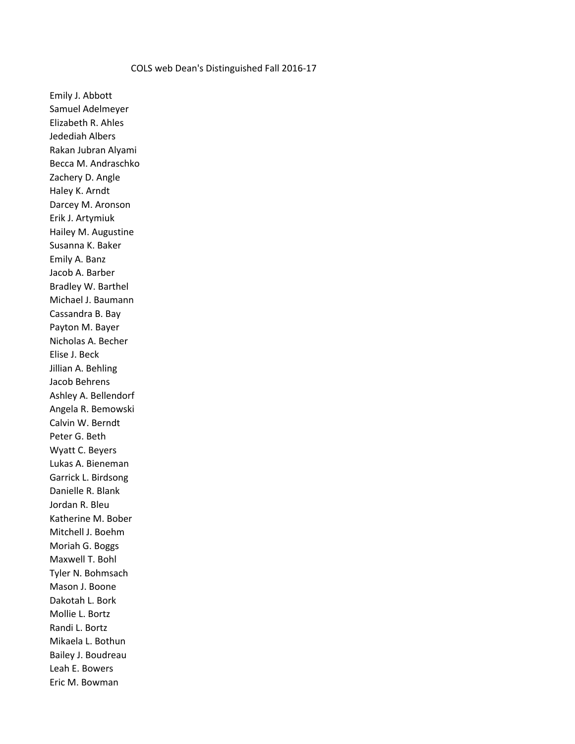## COLS web Dean's Distinguished Fall 2016-17

Emily J. Abbott Samuel Adelmeyer Elizabeth R. Ahles Jedediah Albers Rakan Jubran Alyami Becca M. Andraschko Zachery D. Angle Haley K. Arndt Darcey M. Aronson Erik J. Artymiuk Hailey M. Augustine Susanna K. Baker Emily A. Banz Jacob A. Barber Bradley W. Barthel Michael J. Baumann Cassandra B. Bay Payton M. Bayer Nicholas A. Becher Elise J. Beck Jillian A. Behling Jacob Behrens Ashley A. Bellendorf Angela R. Bemowski Calvin W. Berndt Peter G. Beth Wyatt C. Beyers Lukas A. Bieneman Garrick L. Birdsong Danielle R. Blank Jordan R. Bleu Katherine M. Bober Mitchell J. Boehm Moriah G. Boggs Maxwell T. Bohl Tyler N. Bohmsach Mason J. Boone Dakotah L. Bork Mollie L. Bortz Randi L. Bortz Mikaela L. Bothun Bailey J. Boudreau Leah E. Bowers Eric M. Bowman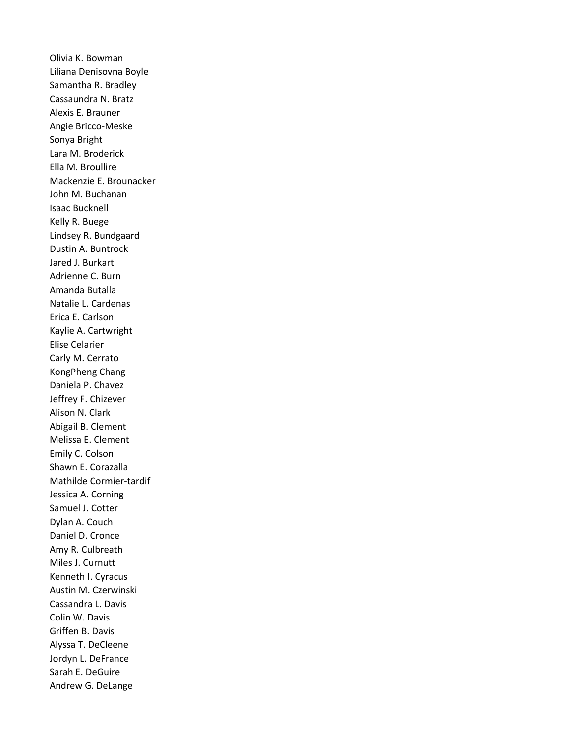Olivia K. Bowman Liliana Denisovna Boyle Samantha R. Bradley Cassaundra N. Bratz Alexis E. Brauner Angie Bricco-Meske Sonya Bright Lara M. Broderick Ella M. Broullire Mackenzie E. Brounacker John M. Buchanan Isaac Bucknell Kelly R. Buege Lindsey R. Bundgaard Dustin A. Buntrock Jared J. Burkart Adrienne C. Burn Amanda Butalla Natalie L. Cardenas Erica E. Carlson Kaylie A. Cartwright Elise Celarier Carly M. Cerrato KongPheng Chang Daniela P. Chavez Jeffrey F. Chizever Alison N. Clark Abigail B. Clement Melissa E. Clement Emily C. Colson Shawn E. Corazalla Mathilde Cormier-tardif Jessica A. Corning Samuel J. Cotter Dylan A. Couch Daniel D. Cronce Amy R. Culbreath Miles J. Curnutt Kenneth I. Cyracus Austin M. Czerwinski Cassandra L. Davis Colin W. Davis Griffen B. Davis Alyssa T. DeCleene Jordyn L. DeFrance Sarah E. DeGuire Andrew G. DeLange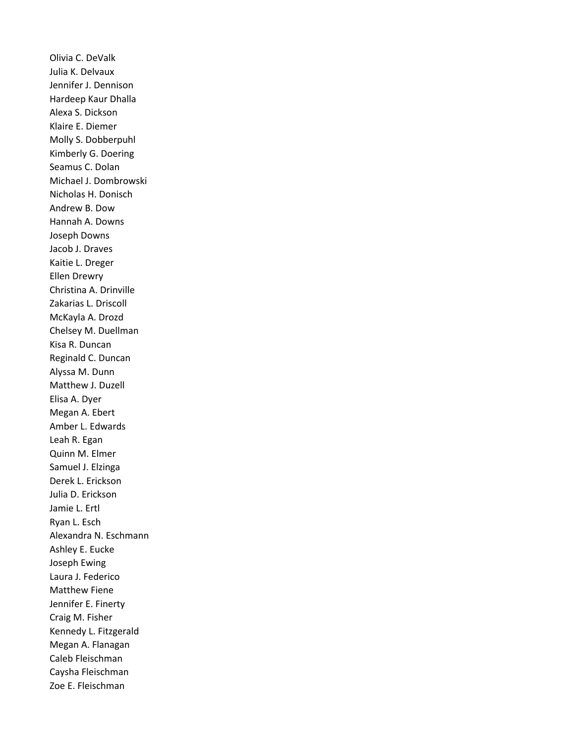Olivia C. DeValk Julia K. Delvaux Jennifer J. Dennison Hardeep Kaur Dhalla Alexa S. Dickson Klaire E. Diemer Molly S. Dobberpuhl Kimberly G. Doering Seamus C. Dolan Michael J. Dombrowski Nicholas H. Donisch Andrew B. Dow Hannah A. Downs Joseph Downs Jacob J. Draves Kaitie L. Dreger Ellen Drewry Christina A. Drinville Zakarias L. Driscoll McKayla A. Drozd Chelsey M. Duellman Kisa R. Duncan Reginald C. Duncan Alyssa M. Dunn Matthew J. Duzell Elisa A. Dyer Megan A. Ebert Amber L. Edwards Leah R. Egan Quinn M. Elmer Samuel J. Elzinga Derek L. Erickson Julia D. Erickson Jamie L. Ertl Ryan L. Esch Alexandra N. Eschmann Ashley E. Eucke Joseph Ewing Laura J. Federico Matthew Fiene Jennifer E. Finerty Craig M. Fisher Kennedy L. Fitzgerald Megan A. Flanagan Caleb Fleischman Caysha Fleischman Zoe E. Fleischman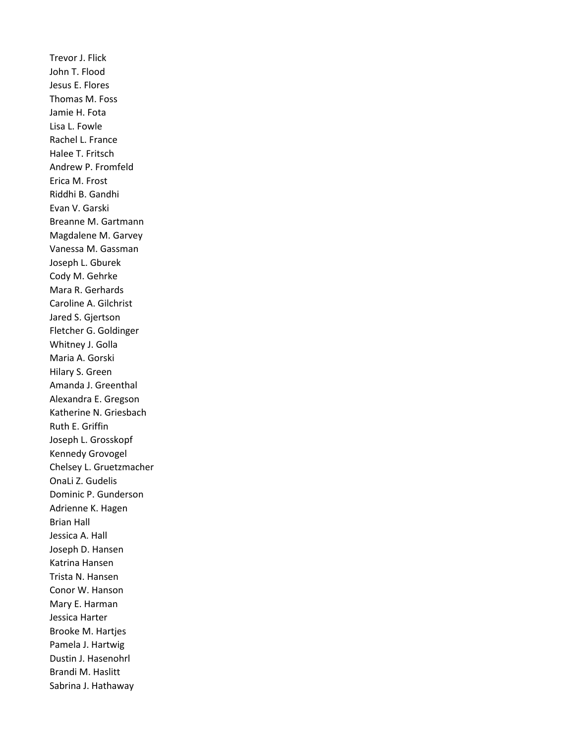Trevor J. Flick John T. Flood Jesus E. Flores Thomas M. Foss Jamie H. Fota Lisa L. Fowle Rachel L. France Halee T. Fritsch Andrew P. Fromfeld Erica M. Frost Riddhi B. Gandhi Evan V. Garski Breanne M. Gartmann Magdalene M. Garvey Vanessa M. Gassman Joseph L. Gburek Cody M. Gehrke Mara R. Gerhards Caroline A. Gilchrist Jared S. Gjertson Fletcher G. Goldinger Whitney J. Golla Maria A. Gorski Hilary S. Green Amanda J. Greenthal Alexandra E. Gregson Katherine N. Griesbach Ruth E. Griffin Joseph L. Grosskopf Kennedy Grovogel Chelsey L. Gruetzmacher OnaLi Z. Gudelis Dominic P. Gunderson Adrienne K. Hagen Brian Hall Jessica A. Hall Joseph D. Hansen Katrina Hansen Trista N. Hansen Conor W. Hanson Mary E. Harman Jessica Harter Brooke M. Hartjes Pamela J. Hartwig Dustin J. Hasenohrl Brandi M. Haslitt Sabrina J. Hathaway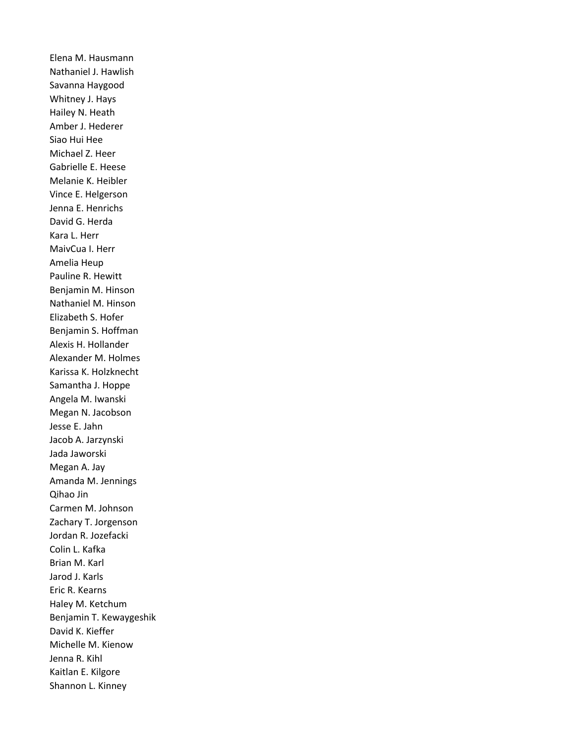Elena M. Hausmann Nathaniel J. Hawlish Savanna Haygood Whitney J. Hays Hailey N. Heath Amber J. Hederer Siao Hui Hee Michael Z. Heer Gabrielle E. Heese Melanie K. Heibler Vince E. Helgerson Jenna E. Henrichs David G. Herda Kara L. Herr MaivCua I. Herr Amelia Heup Pauline R. Hewitt Benjamin M. Hinson Nathaniel M. Hinson Elizabeth S. Hofer Benjamin S. Hoffman Alexis H. Hollander Alexander M. Holmes Karissa K. Holzknecht Samantha J. Hoppe Angela M. Iwanski Megan N. Jacobson Jesse E. Jahn Jacob A. Jarzynski Jada Jaworski Megan A. Jay Amanda M. Jennings Qihao Jin Carmen M. Johnson Zachary T. Jorgenson Jordan R. Jozefacki Colin L. Kafka Brian M. Karl Jarod J. Karls Eric R. Kearns Haley M. Ketchum Benjamin T. Kewaygeshik David K. Kieffer Michelle M. Kienow Jenna R. Kihl Kaitlan E. Kilgore Shannon L. Kinney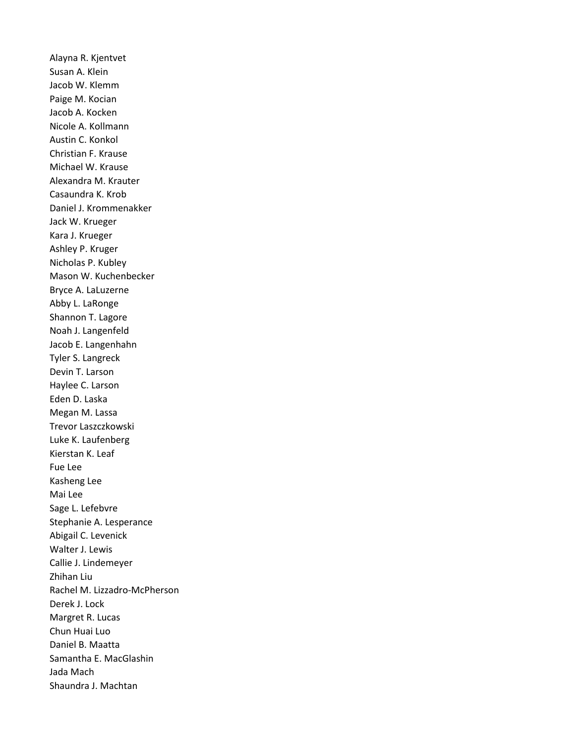Alayna R. Kjentvet Susan A. Klein Jacob W. Klemm Paige M. Kocian Jacob A. Kocken Nicole A. Kollmann Austin C. Konkol Christian F. Krause Michael W. Krause Alexandra M. Krauter Casaundra K. Krob Daniel J. Krommenakker Jack W. Krueger Kara J. Krueger Ashley P. Kruger Nicholas P. Kubley Mason W. Kuchenbecker Bryce A. LaLuzerne Abby L. LaRonge Shannon T. Lagore Noah J. Langenfeld Jacob E. Langenhahn Tyler S. Langreck Devin T. Larson Haylee C. Larson Eden D. Laska Megan M. Lassa Trevor Laszczkowski Luke K. Laufenberg Kierstan K. Leaf Fue Lee Kasheng Lee Mai Lee Sage L. Lefebvre Stephanie A. Lesperance Abigail C. Levenick Walter J. Lewis Callie J. Lindemeyer Zhihan Liu Rachel M. Lizzadro-McPherson Derek J. Lock Margret R. Lucas Chun Huai Luo Daniel B. Maatta Samantha E. MacGlashin Jada Mach Shaundra J. Machtan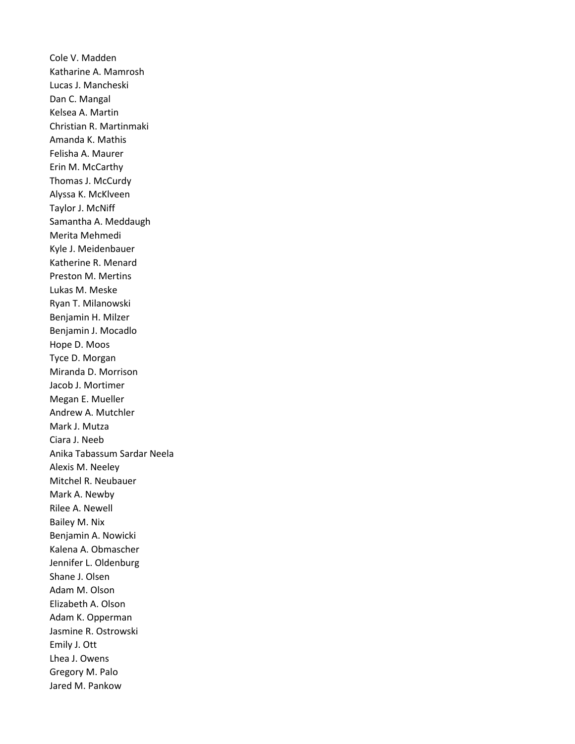Cole V. Madden Katharine A. Mamrosh Lucas J. Mancheski Dan C. Mangal Kelsea A. Martin Christian R. Martinmaki Amanda K. Mathis Felisha A. Maurer Erin M. McCarthy Thomas J. McCurdy Alyssa K. McKlveen Taylor J. McNiff Samantha A. Meddaugh Merita Mehmedi Kyle J. Meidenbauer Katherine R. Menard Preston M. Mertins Lukas M. Meske Ryan T. Milanowski Benjamin H. Milzer Benjamin J. Mocadlo Hope D. Moos Tyce D. Morgan Miranda D. Morrison Jacob J. Mortimer Megan E. Mueller Andrew A. Mutchler Mark J. Mutza Ciara J. Neeb Anika Tabassum Sardar Neela Alexis M. Neeley Mitchel R. Neubauer Mark A. Newby Rilee A. Newell Bailey M. Nix Benjamin A. Nowicki Kalena A. Obmascher Jennifer L. Oldenburg Shane J. Olsen Adam M. Olson Elizabeth A. Olson Adam K. Opperman Jasmine R. Ostrowski Emily J. Ott Lhea J. Owens Gregory M. Palo Jared M. Pankow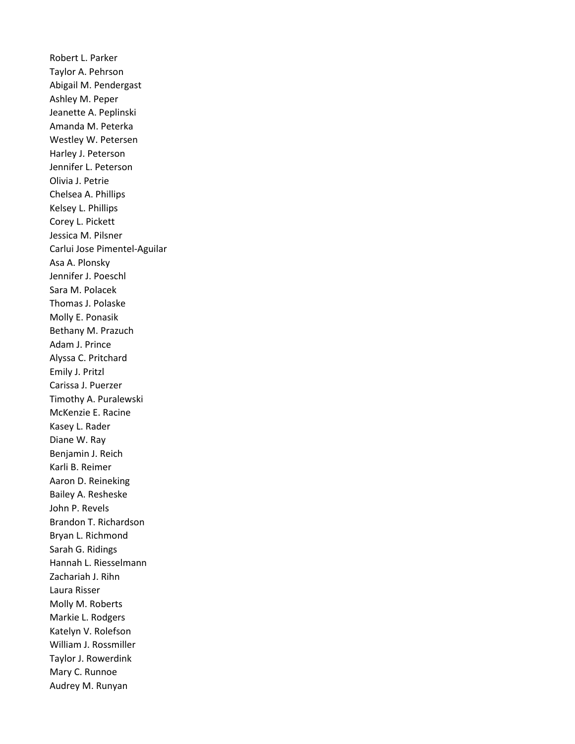Robert L. Parker Taylor A. Pehrson Abigail M. Pendergast Ashley M. Peper Jeanette A. Peplinski Amanda M. Peterka Westley W. Petersen Harley J. Peterson Jennifer L. Peterson Olivia J. Petrie Chelsea A. Phillips Kelsey L. Phillips Corey L. Pickett Jessica M. Pilsner Carlui Jose Pimentel-Aguilar Asa A. Plonsky Jennifer J. Poeschl Sara M. Polacek Thomas J. Polaske Molly E. Ponasik Bethany M. Prazuch Adam J. Prince Alyssa C. Pritchard Emily J. Pritzl Carissa J. Puerzer Timothy A. Puralewski McKenzie E. Racine Kasey L. Rader Diane W. Ray Benjamin J. Reich Karli B. Reimer Aaron D. Reineking Bailey A. Resheske John P. Revels Brandon T. Richardson Bryan L. Richmond Sarah G. Ridings Hannah L. Riesselmann Zachariah J. Rihn Laura Risser Molly M. Roberts Markie L. Rodgers Katelyn V. Rolefson William J. Rossmiller Taylor J. Rowerdink Mary C. Runnoe Audrey M. Runyan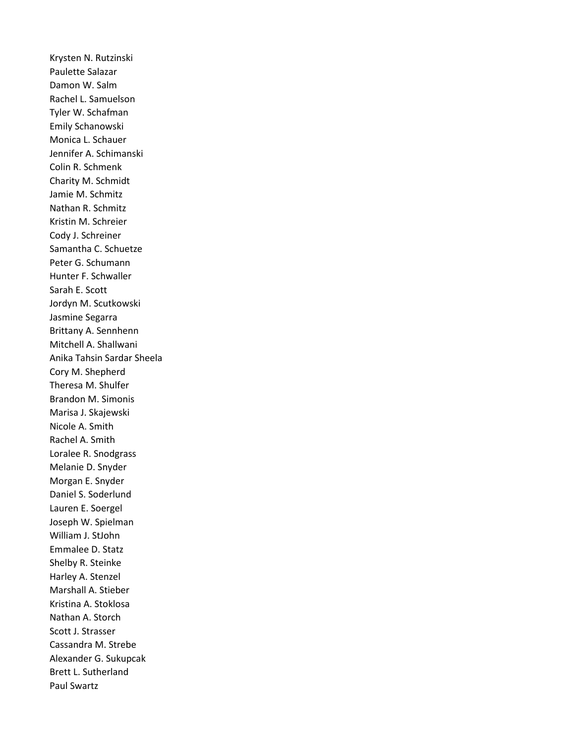Krysten N. Rutzinski Paulette Salazar Damon W. Salm Rachel L. Samuelson Tyler W. Schafman Emily Schanowski Monica L. Schauer Jennifer A. Schimanski Colin R. Schmenk Charity M. Schmidt Jamie M. Schmitz Nathan R. Schmitz Kristin M. Schreier Cody J. Schreiner Samantha C. Schuetze Peter G. Schumann Hunter F. Schwaller Sarah E. Scott Jordyn M. Scutkowski Jasmine Segarra Brittany A. Sennhenn Mitchell A. Shallwani Anika Tahsin Sardar Sheela Cory M. Shepherd Theresa M. Shulfer Brandon M. Simonis Marisa J. Skajewski Nicole A. Smith Rachel A. Smith Loralee R. Snodgrass Melanie D. Snyder Morgan E. Snyder Daniel S. Soderlund Lauren E. Soergel Joseph W. Spielman William J. StJohn Emmalee D. Statz Shelby R. Steinke Harley A. Stenzel Marshall A. Stieber Kristina A. Stoklosa Nathan A. Storch Scott J. Strasser Cassandra M. Strebe Alexander G. Sukupcak Brett L. Sutherland Paul Swartz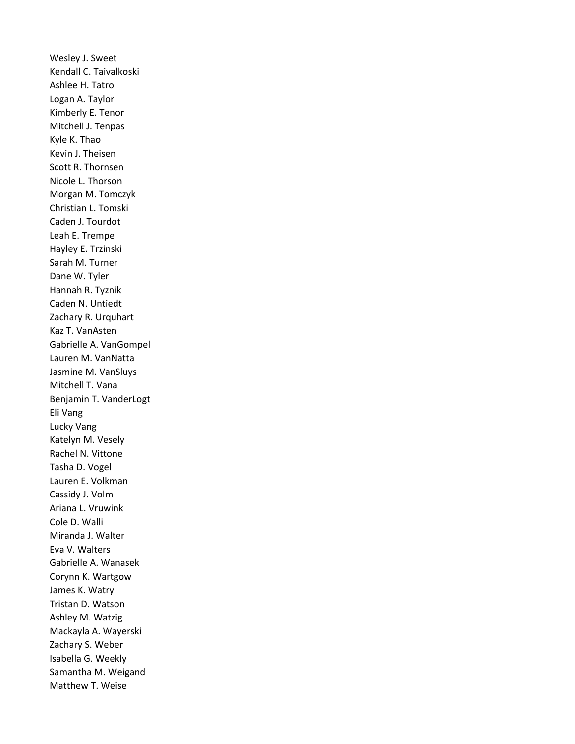Wesley J. Sweet Kendall C. Taivalkoski Ashlee H. Tatro Logan A. Taylor Kimberly E. Tenor Mitchell J. Tenpas Kyle K. Thao Kevin J. Theisen Scott R. Thornsen Nicole L. Thorson Morgan M. Tomczyk Christian L. Tomski Caden J. Tourdot Leah E. Trempe Hayley E. Trzinski Sarah M. Turner Dane W. Tyler Hannah R. Tyznik Caden N. Untiedt Zachary R. Urquhart Kaz T. VanAsten Gabrielle A. VanGompel Lauren M. VanNatta Jasmine M. VanSluys Mitchell T. Vana Benjamin T. VanderLogt Eli Vang Lucky Vang Katelyn M. Vesely Rachel N. Vittone Tasha D. Vogel Lauren E. Volkman Cassidy J. Volm Ariana L. Vruwink Cole D. Walli Miranda J. Walter Eva V. Walters Gabrielle A. Wanasek Corynn K. Wartgow James K. Watry Tristan D. Watson Ashley M. Watzig Mackayla A. Wayerski Zachary S. Weber Isabella G. Weekly Samantha M. Weigand Matthew T. Weise